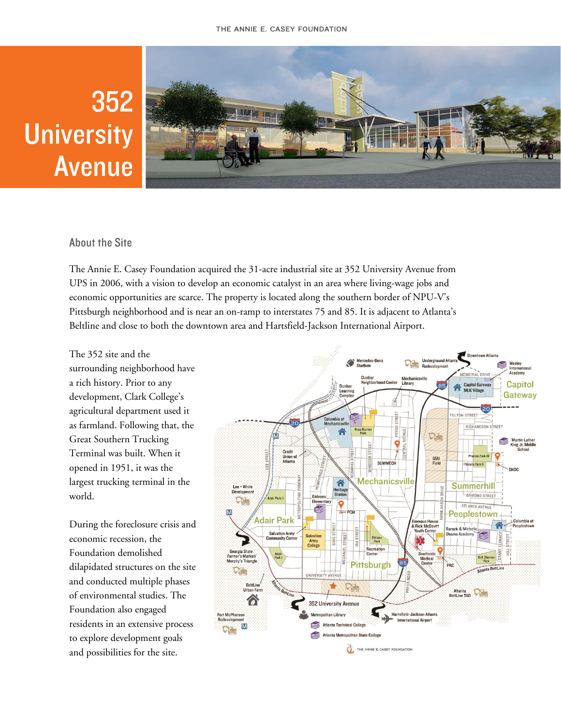# 352 **University Avenue**



# **About the Site**

The Annie E. Casey Foundation acquired the 31-acre industrial site at 352 University Avenue from UPS in 2006, with a vision to develop an economic catalyst in an area where living-wage jobs and economic opportunities are scarce. The property is located along the southern border of NPU-V's Pittsburgh neighborhood and is near an on-ramp to interstates 75 and 85. It is adjacent to Atlanta's Beltline and close to both the downtown area and Hartsfield-Jackson International Airport.

The 352 site and the surrounding neighborhood have a rich history. Prior to any development, Clark College's agricultural department used it as farmland. Following that, the Great Southern Trucking Terminal was built. When it opened in 1951, it was the largest trucking terminal in the world.

During the foreclosure crisis and economic recession, the Foundation demolished dilapidated structures on the site and conducted multiple phases of environmental studies. The Foundation also engaged residents in an extensive process to explore development goals and possibilities for the site.

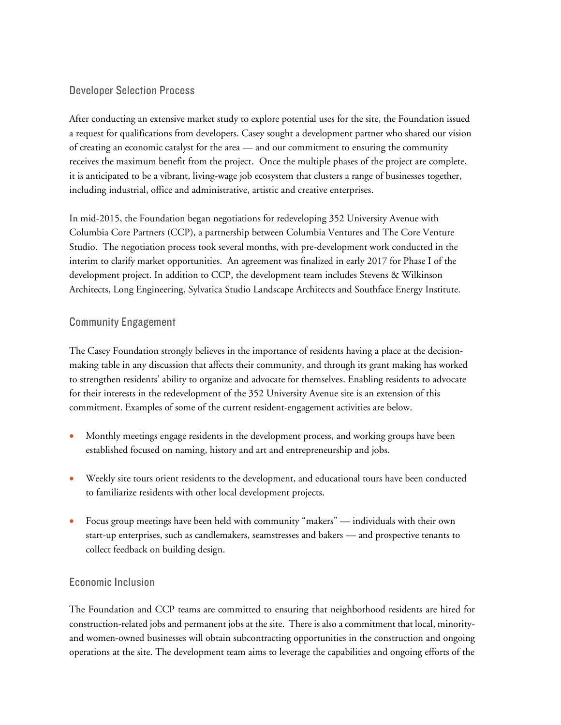## **Developer Selection Process**

After conducting an extensive market study to explore potential uses for the site, the Foundation issued a request for qualifications from developers. Casey sought a development partner who shared our vision of creating an economic catalyst for the area — and our commitment to ensuring the community receives the maximum benefit from the project. Once the multiple phases of the project are complete, it is anticipated to be a vibrant, living-wage job ecosystem that clusters a range of businesses together, including industrial, office and administrative, artistic and creative enterprises.

In mid-2015, the Foundation began negotiations for redeveloping 352 University Avenue with Columbia Core Partners (CCP), a partnership between Columbia Ventures and The Core Venture Studio. The negotiation process took several months, with pre-development work conducted in the interim to clarify market opportunities. An agreement was finalized in early 2017 for Phase I of the development project. In addition to CCP, the development team includes Stevens & Wilkinson Architects, Long Engineering, Sylvatica Studio Landscape Architects and Southface Energy Institute.

## **Community Engagement**

The Casey Foundation strongly believes in the importance of residents having a place at the decisionmaking table in any discussion that affects their community, and through its grant making has worked to strengthen residents' ability to organize and advocate for themselves. Enabling residents to advocate for their interests in the redevelopment of the 352 University Avenue site is an extension of this commitment. Examples of some of the current resident-engagement activities are below.

- Monthly meetings engage residents in the development process, and working groups have been established focused on naming, history and art and entrepreneurship and jobs.
- Weekly site tours orient residents to the development, and educational tours have been conducted to familiarize residents with other local development projects.
- Focus group meetings have been held with community "makers" individuals with their own start-up enterprises, such as candlemakers, seamstresses and bakers — and prospective tenants to collect feedback on building design.

# **Economic Inclusion**

The Foundation and CCP teams are committed to ensuring that neighborhood residents are hired for construction-related jobs and permanent jobs at the site. There is also a commitment that local, minorityand women-owned businesses will obtain subcontracting opportunities in the construction and ongoing operations at the site. The development team aims to leverage the capabilities and ongoing efforts of the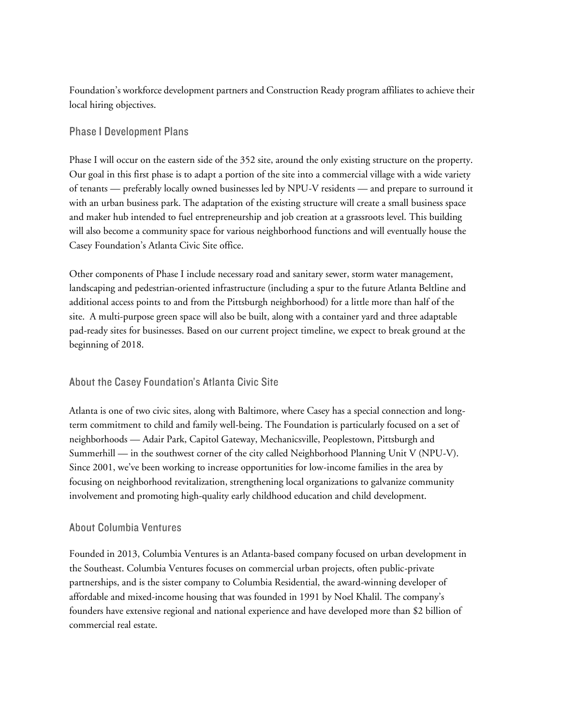Foundation's workforce development partners and Construction Ready program affiliates to achieve their local hiring objectives.

# **Phase I Development Plans**

Phase I will occur on the eastern side of the 352 site, around the only existing structure on the property. Our goal in this first phase is to adapt a portion of the site into a commercial village with a wide variety of tenants — preferably locally owned businesses led by NPU-V residents — and prepare to surround it with an urban business park. The adaptation of the existing structure will create a small business space and maker hub intended to fuel entrepreneurship and job creation at a grassroots level. This building will also become a community space for various neighborhood functions and will eventually house the Casey Foundation's Atlanta Civic Site office.

Other components of Phase I include necessary road and sanitary sewer, storm water management, landscaping and pedestrian-oriented infrastructure (including a spur to the future Atlanta Beltline and additional access points to and from the Pittsburgh neighborhood) for a little more than half of the site. A multi-purpose green space will also be built, along with a container yard and three adaptable pad-ready sites for businesses. Based on our current project timeline, we expect to break ground at the beginning of 2018.

# About the Casey Foundation's Atlanta Civic Site

Atlanta is one of two civic sites, along with Baltimore, where Casey has a special connection and longterm commitment to child and family well-being. The Foundation is particularly focused on a set of neighborhoods — Adair Park, Capitol Gateway, Mechanicsville, Peoplestown, Pittsburgh and Summerhill — in the southwest corner of the city called Neighborhood Planning Unit V (NPU-V). Since 2001, we've been working to increase opportunities for low-income families in the area by focusing on neighborhood revitalization, strengthening local organizations to galvanize community involvement and promoting high-quality early childhood education and child development.

#### **About Columbia Ventures**

Founded in 2013, Columbia Ventures is an Atlanta-based company focused on urban development in the Southeast. Columbia Ventures focuses on commercial urban projects, often public-private partnerships, and is the sister company to Columbia Residential, the award-winning developer of affordable and mixed-income housing that was founded in 1991 by Noel Khalil. The company's founders have extensive regional and national experience and have developed more than \$2 billion of commercial real estate.